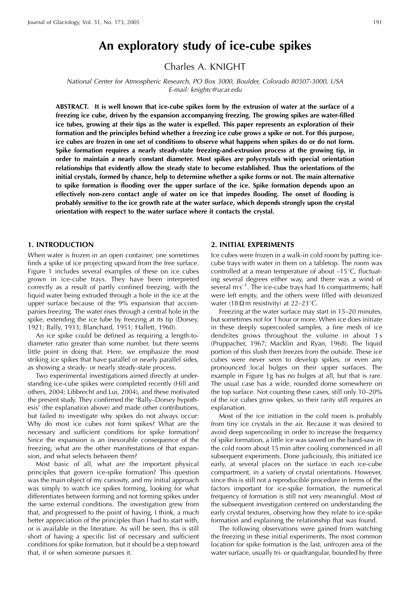Charles A. KNIGHT

National Center for Atmospheric Research, PO Box 3000, Boulder, Colorado 80307-3000, USA E-mail: knightc@ucar.edu

ABSTRACT. It is well known that ice-cube spikes form by the extrusion of water at the surface of a freezing ice cube, driven by the expansion accompanying freezing. The growing spikes are water-filled ice tubes, growing at their tips as the water is expelled. This paper represents an exploration of their formation and the principles behind whether a freezing ice cube grows a spike or not. For this purpose, ice cubes are frozen in one set of conditions to observe what happens when spikes do or do not form. Spike formation requires a nearly steady-state freezing-and-extrusion process at the growing tip, in order to maintain a nearly constant diameter. Most spikes are polycrystals with special orientation relationships that evidently allow the steady state to become established. Thus the orientations of the initial crystals, formed by chance, help to determine whether a spike forms or not. The main alternative to spike formation is flooding over the upper surface of the ice. Spike formation depends upon an effectively non-zero contact angle of water on ice that impedes flooding. The onset of flooding is probably sensitive to the ice growth rate at the water surface, which depends strongly upon the crystal orientation with respect to the water surface where it contacts the crystal.

### **1. INTRODUCTION**

When water is frozen in an open container, one sometimes finds a spike of ice projecting upward from the free surface. Figure 1 includes several examples of these on ice cubes grown in ice-cube trays. They have been interpreted correctly as a result of partly confined freezing, with the liquid water being extruded through a hole in the ice at the upper surface because of the 9% expansion that accompanies freezing. The water rises through a central hole in the spike, extending the ice tube by freezing at its tip (Dorsey, 1921; Bally, 1933; Blanchard, 1951; Hallett, 1960).

An ice spike could be defined as requiring a length-todiameter ratio greater than some number, but there seems little point in doing that. Here, we emphasize the most striking ice spikes that have parallel or nearly parallel sides, as showing a steady- or nearly steady-state process.

Two experimental investigations aimed directly at understanding ice-cube spikes were completed recently (Hill and others, 2004; Libbrecht and Lui, 2004), and these motivated the present study. They confirmed the 'Bally-Dorsey hypothesis' (the explanation above) and made other contributions, but failed to investigate why spikes do not always occur: Why do most ice cubes not form spikes? What are the necessary and sufficient conditions for spike formation? Since the expansion is an inexorable consequence of the freezing, what are the other manifestations of that expansion, and what selects between them?

Most basic of all, what are the important physical principles that govern ice-spike formation? This question was the main object of my curiosity, and my initial approach was simply to watch ice spikes forming, looking for what differentiates between forming and not forming spikes under the same external conditions. The investigation grew from that, and progressed to the point of having, I think, a much better appreciation of the principles than I had to start with, or is available in the literature. As will be seen, this is still short of having a specific list of necessary and sufficient conditions for spike formation, but it should be a step toward that, if or when someone pursues it.

### 2. INITIAL EXPERIMENTS

Ice cubes were frozen in a walk-in cold room by putting icecube trays with water in them on a tabletop. The room was controlled at a mean temperature of about -15°C, fluctuating several degrees either way, and there was a wind of several  $ms^{-1}$ . The ice-cube trays had 16 compartments; half were left empty, and the others were filled with deionized water (18 $\Omega$ m resistivity) at 22-23°C.

Freezing at the water surface may start in 15-20 minutes, but sometimes not for 1 hour or more. When ice does initiate in these deeply supercooled samples, a fine mesh of ice dendrites grows throughout the volume in about 1s (Pruppacher, 1967; Macklin and Ryan, 1968). The liquid portion of this slush then freezes from the outside. These ice cubes were never seen to develop spikes, or even any pronounced local bulges on their upper surfaces. The example in Figure 1g has no bulges at all, but that is rare. The usual case has a wide, rounded dome somewhere on the top surface. Not counting these cases, still only 10-20% of the ice cubes grow spikes, so their rarity still requires an explanation.

Most of the ice initiation in the cold room is probably from tiny ice crystals in the air. Because it was desired to avoid deep supercooling in order to increase the frequency of spike formation, a little ice was sawed on the band-saw in the cold room about 15 min after cooling commenced in all subsequent experiments. Done judiciously, this initiated ice early, at several places on the surface in each ice-cube compartment, in a variety of crystal orientations. However, since this is still not a reproducible procedure in terms of the factors important for ice-spike formation, the numerical frequency of formation is still not very meaningful. Most of the subsequent investigation centered on understanding the early crystal textures, observing how they relate to ice-spike formation and explaining the relationship that was found.

The following observations were gained from watching the freezing in these initial experiments. The most common location for spike formation is the last, unfrozen area of the water surface, usually tri- or quadrangular, bounded by three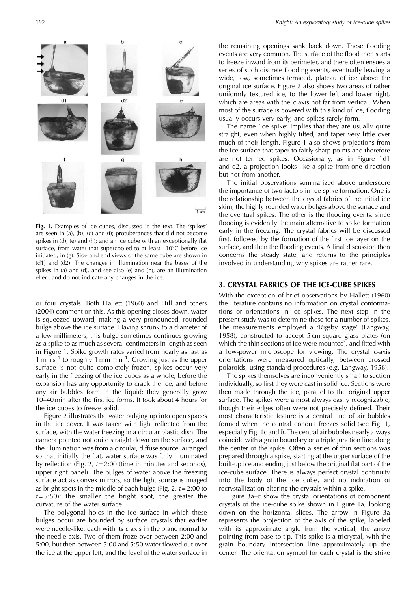

are seen in (a), (b), (c) and (f); protuberances that did not become spikes in (d), (e) and (h); and an ice cube with an exceptionally flat surface, from water that supercooled to at least -10°C before ice initiated, in (g). Side and end views of the same cube are shown in (d1) and (d2). The changes in illumination near the bases of the spikes in (a) and (d), and see also (e) and (h), are an illumination effect and do not indicate any changes in the ice.

or four crystals. Both Hallett (1960) and Hill and others (2004) comment on this. As this opening closes down, water is squeezed upward, making a very pronounced, rounded bulge above the ice surface. Having shrunk to a diameter of a few millimeters, this bulge sometimes continues growing as a spike to as much as several centimeters in length as seen in Figure 1. Spike growth rates varied from nearly as fast as  $1 \text{ mm s}^{-1}$  to roughly  $1 \text{ mm min}^{-1}$ . Growing just as the upper surface is not quite completely frozen, spikes occur very early in the freezing of the ice cubes as a whole, before the expansion has any opportunity to crack the ice, and before any air bubbles form in the liquid: they generally grow 10–40 min after the first ice forms. It took about 4 hours for the ice cubes to freeze solid.

Figure 2 illustrates the water bulging up into open spaces in the ice cover. It was taken with light reflected from the surface, with the water freezing in a circular plastic dish. The camera pointed not quite straight down on the surface, and the illumination was from a circular, diffuse source, arranged so that initially the flat, water surface was fully illuminated by reflection (Fig. 2,  $t = 2.00$  (time in minutes and seconds), upper right panel). The bulges of water above the freezing surface act as convex mirrors, so the light source is imaged as bright spots in the middle of each bulge (Fig. 2,  $t = 2:00$  to  $t = 5:50$ : the smaller the bright spot, the greater the curvature of the water surface.

The polygonal holes in the ice surface in which these bulges occur are bounded by surface crystals that earlier were needle-like, each with its c axis in the plane normal to the needle axis. Two of them froze over between 2:00 and 5:00, but then between 5:00 and 5:50 water flowed out over the ice at the upper left, and the level of the water surface in

the remaining openings sank back down. These flooding events are very common. The surface of the flood then starts to freeze inward from its perimeter, and there often ensues a series of such discrete flooding events, eventually leaving a wide, low, sometimes terraced, plateau of ice above the original ice surface. Figure 2 also shows two areas of rather uniformly textured ice, to the lower left and lower right, which are areas with the  $c$  axis not far from vertical. When most of the surface is covered with this kind of ice, flooding usually occurs very early, and spikes rarely form.

The name 'ice spike' implies that they are usually quite straight, even when highly tilted, and taper very little over much of their length. Figure 1 also shows projections from the ice surface that taper to fairly sharp points and therefore are not termed spikes. Occasionally, as in Figure 1d1 and d2, a projection looks like a spike from one direction but not from another.

The initial observations summarized above underscore the importance of two factors in ice-spike formation. One is the relationship between the crystal fabrics of the initial ice skim, the highly rounded water bulges above the surface and the eventual spikes. The other is the flooding events, since flooding is evidently the main alternative to spike formation early in the freezing. The crystal fabrics will be discussed first, followed by the formation of the first ice layer on the surface, and then the flooding events. A final discussion then concerns the steady state, and returns to the principles involved in understanding why spikes are rather rare.

# 3. CRYSTAL FABRICS OF THE ICE-CUBE SPIKES

With the exception of brief observations by Hallett (1960) the literature contains no information on crystal conformations or orientations in ice spikes. The next step in the present study was to determine these for a number of spikes. The measurements employed a 'Rigsby stage' (Langway, 1958), constructed to accept 5 cm-square glass plates (on which the thin sections of ice were mounted), and fitted with a low-power microscope for viewing. The crystal c-axis orientations were measured optically, between crossed polaroids, using standard procedures (e.g. Langway, 1958).

The spikes themselves are inconveniently small to section individually, so first they were cast in solid ice. Sections were then made through the ice, parallel to the original upper surface. The spikes were almost always easily recognizable, though their edges often were not precisely defined. Their most characteristic feature is a central line of air bubbles formed when the central conduit freezes solid (see Fig. 1, especially Fig. 1c and f). The central air bubbles nearly always coincide with a grain boundary or a triple junction line along the center of the spike. Often a series of thin sections was prepared through a spike, starting at the upper surface of the built-up ice and ending just below the original flat part of the ice-cube surface. There is always perfect crystal continuity into the body of the ice cube, and no indication of recrystallization altering the crystals within a spike.

Figure 3a–c show the crystal orientations of component crystals of the ice-cube spike shown in Figure 1a, looking down on the horizontal slices. The arrow in Figure 3a represents the projection of the axis of the spike, labeled with its approximate angle from the vertical, the arrow pointing from base to tip. This spike is a tricrystal, with the grain boundary intersection line approximately up the center. The orientation symbol for each crystal is the strike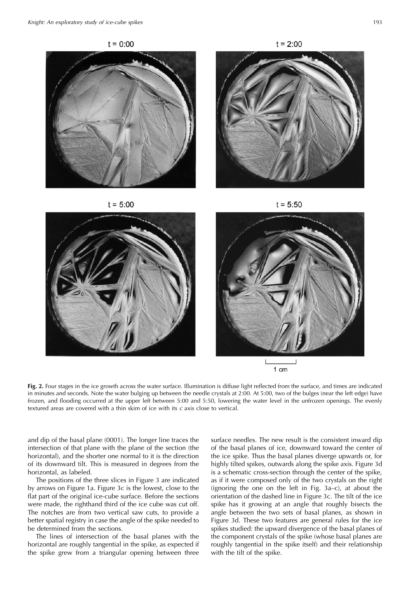

1 cm

Fig. 2. Four stages in the ice growth across the water surface. Illumination is diffuse light reflected from the surface, and times are indicated in minutes and seconds. Note the water bulging up between the needle crystals at 2:00. At 5:00, two of the bulges (near the left edge) have frozen, and flooding occurred at the upper left between 5:00 and 5:50, lowering the water level in the unfrozen openings. The evenly textured areas are covered with a thin skim of ice with its c axis close to vertical.

and dip of the basal plane (0001). The longer line traces the intersection of that plane with the plane of the section (the horizontal), and the shorter one normal to it is the direction of its downward tilt. This is measured in degrees from the horizontal, as labeled.

The positions of the three slices in Figure 3 are indicated by arrows on Figure 1a. Figure 3c is the lowest, close to the flat part of the original ice-cube surface. Before the sections were made, the righthand third of the ice cube was cut off. The notches are from two vertical saw cuts, to provide a better spatial registry in case the angle of the spike needed to be determined from the sections.

The lines of intersection of the basal planes with the horizontal are roughly tangential in the spike, as expected if the spike grew from a triangular opening between three surface needles. The new result is the consistent inward dip of the basal planes of ice, downward toward the center of the ice spike. Thus the basal planes diverge upwards or, for highly tilted spikes, outwards along the spike axis. Figure 3d is a schematic cross-section through the center of the spike, as if it were composed only of the two crystals on the right (ignoring the one on the left in Fig. 3a-c), at about the orientation of the dashed line in Figure 3c. The tilt of the ice spike has it growing at an angle that roughly bisects the angle between the two sets of basal planes, as shown in Figure 3d. These two features are general rules for the ice spikes studied: the upward divergence of the basal planes of the component crystals of the spike (whose basal planes are roughly tangential in the spike itself) and their relationship with the tilt of the spike.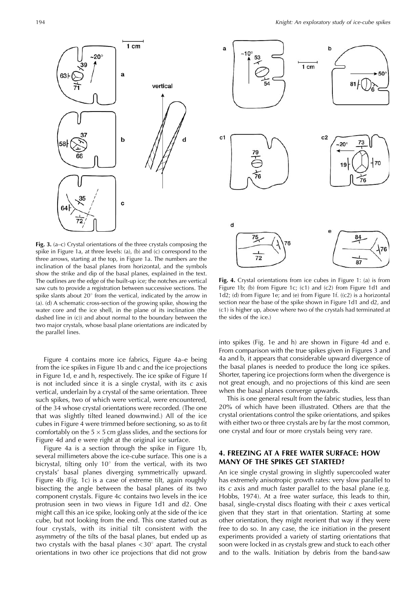

Fig. 3.  $(a-c)$  Crystal orientations of the three crystals composing the spike in Figure 1a, at three levels: (a), (b) and (c) correspond to the three arrows, starting at the top, in Figure 1a. The numbers are the inclination of the basal planes from horizontal, and the symbols show the strike and dip of the basal planes, explained in the text. The outlines are the edge of the built-up ice; the notches are vertical saw cuts to provide a registration between successive sections. The spike slants about 20° from the vertical, indicated by the arrow in (a). (d) A schematic cross-section of the growing spike, showing the water core and the ice shell, in the plane of its inclination (the dashed line in  $(c)$  and about normal to the boundary between the two major crystals, whose basal plane orientations are indicated by the parallel lines.

Figure 4 contains more ice fabrics, Figure 4a–e being from the ice spikes in Figure 1b and c and the ice projections in Figure 1d, e and h, respectively. The ice spike of Figure 1f is not included since it is a single crystal, with its  $c$  axis vertical, underlain by a crystal of the same orientation. Three such spikes, two of which were vertical, were encountered, of the 34 whose crystal orientations were recorded. (The one that was slightly tilted leaned downwind.) All of the ice cubes in Figure 4 were trimmed before sectioning, so as to fit comfortably on the  $5 \times 5$  cm glass slides, and the sections for Figure 4d and e were right at the original ice surface.

Figure 4a is a section through the spike in Figure 1b, several millimeters above the ice-cube surface. This one is a bicrystal, tilting only  $10^{\circ}$  from the vertical, with its two crystals' basal planes diverging symmetrically upward. Figure 4b (Fig. 1c) is a case of extreme tilt, again roughly bisecting the angle between the basal planes of its two component crystals. Figure 4c contains two levels in the ice protrusion seen in two views in Figure 1d1 and d2. One might call this an ice spike, looking only at the side of the ice cube, but not looking from the end. This one started out as four crystals, with its initial tilt consistent with the asymmetry of the tilts of the basal planes, but ended up as two crystals with the basal planes  $<$  30 $^{\circ}$  apart. The crystal orientations in two other ice projections that did not grow



Fig. 4. Crystal orientations from ice cubes in Figure 1: (a) is from Figure 1b; (b) from Figure 1c; (c1) and (c2) from Figure 1d1 and  $1d2$ ; (d) from Figure 1e; and (e) from Figure 1f. ((c2) is a horizontal section near the base of the spike shown in Figure 1d1 and d2, and (c1) is higher up, above where two of the crystals had terminated at the sides of the ice.)

into spikes (Fig. 1e and h) are shown in Figure 4d and e. From comparison with the true spikes given in Figures 3 and 4a and b, it appears that considerable upward divergence of the basal planes is needed to produce the long ice spikes. Shorter, tapering ice projections form when the divergence is not great enough, and no projections of this kind are seen when the basal planes converge upwards.

This is one general result from the fabric studies, less than 20% of which have been illustrated. Others are that the crystal orientations control the spike orientations, and spikes with either two or three crystals are by far the most common, one crystal and four or more crystals being very rare.

### **4. FREEZING AT A FREE WATER SURFACE: HOW MANY OF THE SPIKES GET STARTED?**

An ice single crystal growing in slightly supercooled water has extremely anisotropic growth rates: very slow parallel to its  $c$  axis and much faster parallel to the basal plane (e.g. Hobbs, 1974). At a free water surface, this leads to thin, basal, single-crystal discs floating with their c axes vertical given that they start in that orientation. Starting at some other orientation, they might reorient that way if they were free to do so. In any case, the ice initiation in the present experiments provided a variety of starting orientations that soon were locked in as crystals grew and stuck to each other and to the walls. Initiation by debris from the band-saw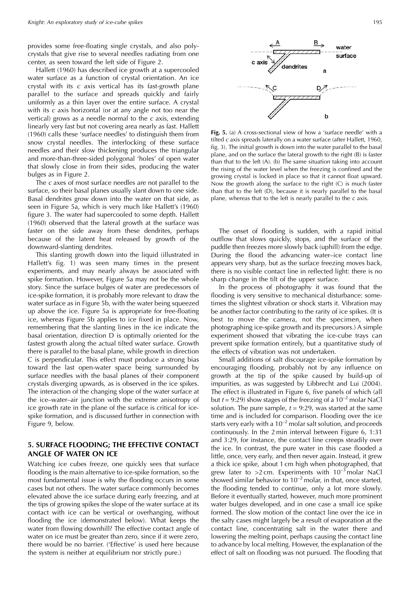provides some free-floating single crystals, and also polycrystals that give rise to several needles radiating from one center, as seen toward the left side of Figure 2.

Hallett (1960) has described ice growth at a supercooled water surface as a function of crystal orientation. An ice crystal with its c axis vertical has its fast-growth plane parallel to the surface and spreads quickly and fairly uniformly as a thin layer over the entire surface. A crystal with its  $c$  axis horizontal (or at any angle not too near the vertical) grows as a needle normal to the  $c$  axis, extending linearly very fast but not covering area nearly as fast. Hallett (1960) calls these 'surface needles' to distinguish them from snow crystal needles. The interlocking of these surface needles and their slow thickening produces the triangular and more-than-three-sided polygonal 'holes' of open water that slowly close in from their sides, producing the water bulges as in Figure 2.

The c axes of most surface needles are not parallel to the surface, so their basal planes usually slant down to one side. Basal dendrites grow down into the water on that side, as seen in Figure 5a, which is very much like Hallett's (1960) figure 3. The water had supercooled to some depth. Hallett (1960) observed that the lateral growth at the surface was faster on the side away from these dendrites, perhaps because of the latent heat released by growth of the downward-slanting dendrites.

This slanting growth down into the liquid (illustrated in Hallett's fig. 1) was seen many times in the present experiments, and may nearly always be associated with spike formation. However, Figure 5a may not be the whole story. Since the surface bulges of water are predecessors of ice-spike formation, it is probably more relevant to draw the water surface as in Figure 5b, with the water being squeezed up above the ice. Figure 5a is appropriate for free-floating ice, whereas Figure 5b applies to ice fixed in place. Now, remembering that the slanting lines in the ice indicate the basal orientation, direction D is optimally oriented for the fastest growth along the actual tilted water surface. Growth there is parallel to the basal plane, while growth in direction C is perpendicular. This effect must produce a strong bias toward the last open-water space being surrounded by surface needles with the basal planes of their component crystals diverging upwards, as is observed in the ice spikes. The interaction of the changing slope of the water surface at the ice–water–air junction with the extreme anisotropy of ice growth rate in the plane of the surface is critical for icespike formation, and is discussed further in connection with Figure 9, below.

### 5. SURFACE FLOODING; THE EFFECTIVE CONTACT **ANGLE OF WATER ON ICE**

Watching ice cubes freeze, one quickly sees that surface flooding is the main alternative to ice-spike formation, so the most fundamental issue is why the flooding occurs in some cases but not others. The water surface commonly becomes elevated above the ice surface during early freezing, and at the tips of growing spikes the slope of the water surface at its contact with ice can be vertical or overhanging, without flooding the ice (demonstrated below). What keeps the water from flowing downhill? The effective contact angle of water on ice must be greater than zero, since if it were zero, there would be no barrier. ('Effective' is used here because the system is neither at equilibrium nor strictly pure.)



Fig. 5. (a) A cross-sectional view of how a 'surface needle' with a tilted c axis spreads laterally on a water surface (after Hallett, 1960, fig. 3). The initial growth is down into the water parallel to the basal plane, and on the surface the lateral growth to the right (B) is faster than that to the left (A). (b) The same situation taking into account the rising of the water level when the freezing is confined and the growing crystal is locked in place so that it cannot float upward. Now the growth along the surface to the right (C) is much faster than that to the left (D), because it is nearly parallel to the basal plane, whereas that to the left is nearly parallel to the  $c$  axis.

The onset of flooding is sudden, with a rapid initial outflow that slows quickly, stops, and the surface of the puddle then freezes more slowly back (uphill) from the edge. During the flood the advancing water-ice contact line appears very sharp, but as the surface freezing moves back, there is no visible contact line in reflected light: there is no sharp change in the tilt of the upper surface.

In the process of photography it was found that the flooding is very sensitive to mechanical disturbance: sometimes the slightest vibration or shock starts it. Vibration may be another factor contributing to the rarity of ice spikes. (It is best to move the camera, not the specimen, when photographing ice-spike growth and its precursors.) A simple experiment showed that vibrating the ice-cube trays can prevent spike formation entirely, but a quantitative study of the effects of vibration was not undertaken.

Small additions of salt discourage ice-spike formation by encouraging flooding, probably not by any influence on growth at the tip of the spike caused by build-up of impurities, as was suggested by Libbrecht and Lui (2004). The effect is illustrated in Figure 6, five panels of which (all but  $t = 9:29$ ) show stages of the freezing of a  $10^{-2}$  molar NaCl solution. The pure sample,  $t = 9:29$ , was started at the same time and is included for comparison. Flooding over the ice starts very early with a  $10^{-2}$  molar salt solution, and proceeds continuously. In the 2 min interval between Figure 6, 1:31 and 3:29, for instance, the contact line creeps steadily over the ice. In contrast, the pure water in this case flooded a little, once, very early, and then never again. Instead, it grew a thick ice spike, about 1 cm high when photographed, that grew later to >2 cm. Experiments with  $10^{-3}$  molar NaCl showed similar behavior to  $10^{-2}$  molar, in that, once started, the flooding tended to continue, only a lot more slowly. Before it eventually started, however, much more prominent water bulges developed, and in one case a small ice spike formed. The slow motion of the contact line over the ice in the salty cases might largely be a result of evaporation at the contact line, concentrating salt in the water there and lowering the melting point, perhaps causing the contact line to advance by local melting. However, the explanation of the effect of salt on flooding was not pursued. The flooding that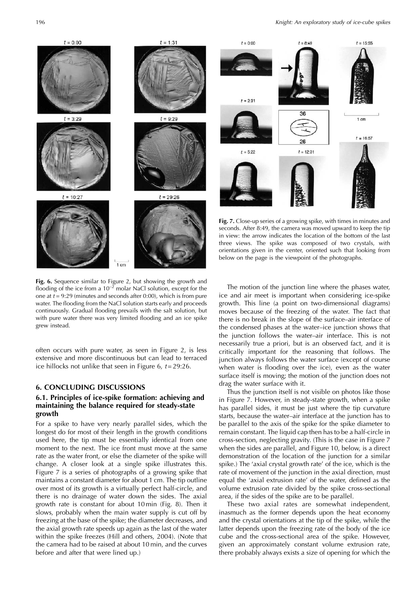

Fig. 6. Sequence similar to Figure 2, but showing the growth and flooding of the ice from a  $10^{-2}$  molar NaCl solution, except for the one at  $t = 9:29$  (minutes and seconds after 0:00), which is from pure water. The flooding from the NaCl solution starts early and proceeds continuously. Gradual flooding prevails with the salt solution, but with pure water there was very limited flooding and an ice spike grew instead.

often occurs with pure water, as seen in Figure 2, is less extensive and more discontinuous but can lead to terraced ice hillocks not unlike that seen in Figure 6,  $t = 29:26$ .

### **6. CONCLUDING DISCUSSIONS**

### 6.1. Principles of ice-spike formation: achieving and maintaining the balance required for steady-state growth

For a spike to have very nearly parallel sides, which the longest do for most of their length in the growth conditions used here, the tip must be essentially identical from one moment to the next. The ice front must move at the same rate as the water front, or else the diameter of the spike will change. A closer look at a single spike illustrates this. Figure 7 is a series of photographs of a growing spike that maintains a constant diameter for about 1 cm. The tip outline over most of its growth is a virtually perfect half-circle, and there is no drainage of water down the sides. The axial growth rate is constant for about 10 min (Fig. 8). Then it slows, probably when the main water supply is cut off by freezing at the base of the spike; the diameter decreases, and the axial growth rate speeds up again as the last of the water within the spike freezes (Hill and others, 2004). (Note that the camera had to be raised at about 10 min, and the curves before and after that were lined up.)



Fig. 7. Close-up series of a growing spike, with times in minutes and seconds. After 8:49, the camera was moved upward to keep the tip in view: the arrow indicates the location of the bottom of the last three views. The spike was composed of two crystals, with orientations given in the center, oriented such that looking from below on the page is the viewpoint of the photographs.

The motion of the junction line where the phases water, ice and air meet is important when considering ice-spike growth. This line (a point on two-dimensional diagrams) moves because of the freezing of the water. The fact that there is no break in the slope of the surface-air interface of the condensed phases at the water-ice junction shows that the junction follows the water-air interface. This is not necessarily true a priori, but is an observed fact, and it is critically important for the reasoning that follows. The junction always follows the water surface (except of course when water is flooding over the ice), even as the water surface itself is moving; the motion of the junction does not drag the water surface with it.

Thus the junction itself is not visible on photos like those in Figure 7. However, in steady-state growth, when a spike has parallel sides, it must be just where the tip curvature starts, because the water-air interface at the junction has to be parallel to the axis of the spike for the spike diameter to remain constant. The liquid cap then has to be a half-circle in cross-section, neglecting gravity. (This is the case in Figure 7 when the sides are parallel, and Figure 10, below, is a direct demonstration of the location of the junction for a similar spike.) The 'axial crystal growth rate' of the ice, which is the rate of movement of the junction in the axial direction, must equal the 'axial extrusion rate' of the water, defined as the volume extrusion rate divided by the spike cross-sectional area, if the sides of the spike are to be parallel.

These two axial rates are somewhat independent, inasmuch as the former depends upon the heat economy and the crystal orientations at the tip of the spike, while the latter depends upon the freezing rate of the body of the ice cube and the cross-sectional area of the spike. However, given an approximately constant volume extrusion rate, there probably always exists a size of opening for which the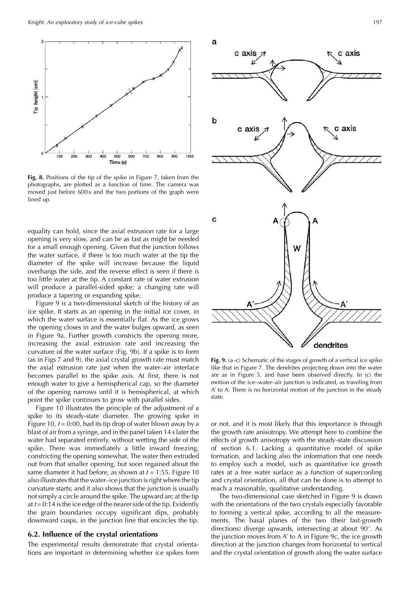

Fig. 8. Positions of the tip of the spike in Figure 7, taken from the photographs, are plotted as a function of time. The camera was moved just before 600s and the two portions of the graph were lined up.

equality can hold, since the axial extrusion rate for a large opening is very slow, and can be as fast as might be needed for a small enough opening. Given that the junction follows the water surface, if there is too much water at the tip the diameter of the spike will increase because the liquid overhangs the side, and the reverse effect is seen if there is too little water at the tip. A constant rate of water extrusion will produce a parallel-sided spike; a changing rate will produce a tapering or expanding spike.

Figure 9 is a two-dimensional sketch of the history of an ice spike. It starts as an opening in the initial ice cover, in which the water surface is essentially flat. As the ice grows the opening closes in and the water bulges upward, as seen in Figure 9a. Further growth constricts the opening more, increasing the axial extrusion rate and increasing the curvature of the water surface (Fig. 9b). If a spike is to form (as in Figs 7 and 9), the axial crystal growth rate must match the axial extrusion rate just when the water-air interface becomes parallel to the spike axis. At first, there is not enough water to give a hemispherical cap, so the diameter of the opening narrows until it is hemispherical, at which point the spike continues to grow with parallel sides.

Figure 10 illustrates the principle of the adjustment of a spike to its steady-state diameter. The growing spike in Figure 10,  $t = 0.00$ , had its tip drop of water blown away by a blast of air from a syringe, and in the panel taken 14 s later the water had separated entirely, without wetting the side of the spike. There was immediately a little inward freezing, constricting the opening somewhat. The water then extruded out from that smaller opening, but soon regained about the same diameter it had before, as shown at  $t = 1:55$ . Figure 10 also illustrates that the water-ice junction is right where the tip curvature starts; and it also shows that the junction is usually not simply a circle around the spike. The upward arc at the tip at  $t = 0.14$  is the ice edge of the nearer side of the tip. Evidently the grain boundaries occupy significant dips, probably downward cusps, in the junction line that encircles the tip.

# 6.2. Influence of the crystal orientations

The experimental results demonstrate that crystal orientations are important in determining whether ice spikes form



Fig. 9.  $(a-c)$  Schematic of the stages of growth of a vertical ice spike like that in Figure 7. The dendrites projecting down into the water are as in Figure 5, and have been observed directly. In (c) the motion of the ice-water-air junction is indicated, as traveling from A' to A. There is no horizontal motion of the junction in the steady state

or not, and it is most likely that this importance is through the growth rate anisotropy. We attempt here to combine the effects of growth anisotropy with the steady-state discussion of section 6.1. Lacking a quantitative model of spike formation, and lacking also the information that one needs to employ such a model, such as quantitative ice growth rates at a free water surface as a function of supercooling and crystal orientation, all that can be done is to attempt to reach a reasonable, qualitative understanding.

The two-dimensional case sketched in Figure 9 is drawn with the orientations of the two crystals especially favorable to forming a vertical spike, according to all the measurements. The basal planes of the two (their fast-growth directions) diverge upwards, intersecting at about  $90^\circ$ . As the junction moves from A' to A in Figure 9c, the ice growth direction at the junction changes from horizontal to vertical and the crystal orientation of growth along the water surface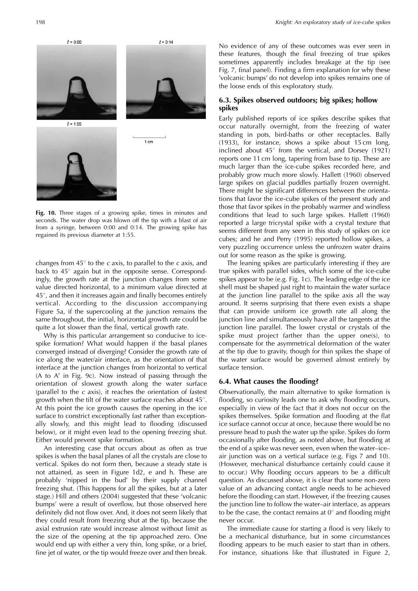

Fig. 10. Three stages of a growing spike, times in minutes and seconds. The water drop was blown off the tip with a blast of air from a syringe, between 0:00 and 0:14. The growing spike has regained its previous diameter at 1:55.

changes from  $45^{\circ}$  to the *c* axis, to parallel to the *c* axis, and back to 45° again but in the opposite sense. Correspondingly, the growth rate at the junction changes from some value directed horizontal, to a minimum value directed at  $45^{\circ}$ , and then it increases again and finally becomes entirely vertical. According to the discussion accompanying Figure 5a, if the supercooling at the junction remains the same throughout, the initial, horizontal growth rate could be quite a lot slower than the final, vertical growth rate.

Why is this particular arrangement so conducive to icespike formation? What would happen if the basal planes converged instead of diverging? Consider the growth rate of ice along the water/air interface, as the orientation of that interface at the junction changes from horizontal to vertical (A to A' in Fig. 9c). Now instead of passing through the orientation of slowest growth along the water surface (parallel to the  $c$  axis), it reaches the orientation of fastest growth when the tilt of the water surface reaches about  $45^\circ$ . At this point the ice growth causes the opening in the ice surface to constrict exceptionally fast rather than exceptionally slowly, and this might lead to flooding (discussed below), or it might even lead to the opening freezing shut. Either would prevent spike formation.

An interesting case that occurs about as often as true spikes is when the basal planes of all the crystals are close to vertical. Spikes do not form then, because a steady state is not attained, as seen in Figure 1d2, e and h. These are probably 'nipped in the bud' by their supply channel freezing shut. (This happens for all the spikes, but at a later stage.) Hill and others (2004) suggested that these 'volcanic bumps' were a result of overflow, but those observed here definitely did not flow over. And, it does not seem likely that they could result from freezing shut at the tip, because the axial extrusion rate would increase almost without limit as the size of the opening at the tip approached zero. One would end up with either a very thin, long spike, or a brief, fine jet of water, or the tip would freeze over and then break.

No evidence of any of these outcomes was ever seen in these features, though the final freezing of true spikes sometimes apparently includes breakage at the tip (see Fig. 7, final panel). Finding a firm explanation for why these 'volcanic bumps' do not develop into spikes remains one of the loose ends of this exploratory study.

## 6.3. Spikes observed outdoors; big spikes; hollow spikes

Early published reports of ice spikes describe spikes that occur naturally overnight, from the freezing of water standing in pots, bird-baths or other receptacles. Bally (1933), for instance, shows a spike about 15 cm long, inclined about  $45^{\circ}$  from the vertical, and Dorsey (1921) reports one 11 cm long, tapering from base to tip. These are much larger than the ice-cube spikes recorded here, and probably grow much more slowly. Hallett (1960) observed large spikes on glacial puddles partially frozen overnight. There might be significant differences between the orientations that favor the ice-cube spikes of the present study and those that favor spikes in the probably warmer and windless conditions that lead to such large spikes. Hallett (1960) reported a large tricrystal spike with a crystal texture that seems different from any seen in this study of spikes on ice cubes; and he and Perry (1995) reported hollow spikes, a very puzzling occurrence unless the unfrozen water drains out for some reason as the spike is growing.

The leaning spikes are particularly interesting if they are true spikes with parallel sides, which some of the ice-cube spikes appear to be (e.g. Fig. 1c). The leading edge of the ice shell must be shaped just right to maintain the water surface at the junction line parallel to the spike axis all the way around. It seems surprising that there even exists a shape that can provide uniform ice growth rate all along the junction line and simultaneously have all the tangents at the junction line parallel. The lower crystal or crystals of the spike must project farther than the upper one(s), to compensate for the asymmetrical deformation of the water at the tip due to gravity, though for thin spikes the shape of the water surface would be governed almost entirely by surface tension.

## 6.4. What causes the flooding?

Observationally, the main alternative to spike formation is flooding, so curiosity leads one to ask why flooding occurs, especially in view of the fact that it does not occur on the spikes themselves. Spike formation and flooding at the flat ice surface cannot occur at once, because there would be no pressure head to push the water up the spike. Spikes do form occasionally after flooding, as noted above, but flooding at the end of a spike was never seen, even when the water-iceair junction was on a vertical surface (e.g. Figs 7 and 10). (However, mechanical disturbance certainly could cause it to occur.) Why flooding occurs appears to be a difficult question. As discussed above, it is clear that some non-zero value of an advancing contact angle needs to be achieved before the flooding can start. However, if the freezing causes the junction line to follow the water-air interface, as appears to be the case, the contact remains at  $0^\circ$  and flooding might never occur.

The immediate cause for starting a flood is very likely to be a mechanical disturbance, but in some circumstances flooding appears to be much easier to start than in others. For instance, situations like that illustrated in Figure 2,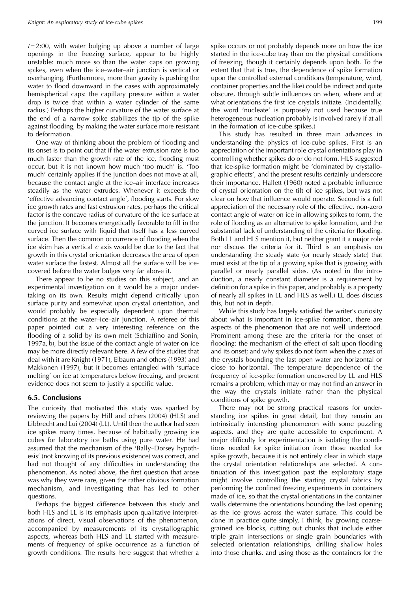$t = 2:00$ , with water bulging up above a number of large openings in the freezing surface, appear to be highly unstable: much more so than the water caps on growing spikes, even when the ice-water-air junction is vertical or overhanging. (Furthermore, more than gravity is pushing the water to flood downward in the cases with approximately hemispherical caps: the capillary pressure within a water drop is twice that within a water cylinder of the same radius.) Perhaps the higher curvature of the water surface at the end of a narrow spike stabilizes the tip of the spike against flooding, by making the water surface more resistant to deformation.

One way of thinking about the problem of flooding and its onset is to point out that if the water extrusion rate is too much faster than the growth rate of the ice, flooding must occur, but it is not known how much 'too much' is. 'Too much' certainly applies if the junction does not move at all, because the contact angle at the ice-air interface increases steadily as the water extrudes. Whenever it exceeds the 'effective advancing contact angle', flooding starts. For slow ice growth rates and fast extrusion rates, perhaps the critical factor is the concave radius of curvature of the ice surface at the junction. It becomes energetically favorable to fill in the curved ice surface with liquid that itself has a less curved surface. Then the common occurrence of flooding when the ice skim has a vertical c axis would be due to the fact that growth in this crystal orientation decreases the area of open water surface the fastest. Almost all the surface will be icecovered before the water bulges very far above it.

There appear to be no studies on this subject, and an experimental investigation on it would be a major undertaking on its own. Results might depend critically upon surface purity and somewhat upon crystal orientation, and would probably be especially dependent upon thermal conditions at the water-ice-air junction. A referee of this paper pointed out a very interesting reference on the flooding of a solid by its own melt (Schiaffino and Sonin, 1997a, b), but the issue of the contact angle of water on ice may be more directly relevant here. A few of the studies that deal with it are Knight (1971), Elbaum and others (1993) and Makkonen (1997), but it becomes entangled with 'surface melting' on ice at temperatures below freezing, and present evidence does not seem to justify a specific value.

#### **6.5. Conclusions**

The curiosity that motivated this study was sparked by reviewing the papers by Hill and others (2004) (HLS) and Libbrecht and Lui (2004) (LL). Until then the author had seen ice spikes many times, because of habitually growing ice cubes for laboratory ice baths using pure water. He had assumed that the mechanism of the 'Bally-Dorsey hypothesis' (not knowing of its previous existence) was correct, and had not thought of any difficulties in understanding the phenomenon. As noted above, the first question that arose was why they were rare, given the rather obvious formation mechanism, and investigating that has led to other questions.

Perhaps the biggest difference between this study and both HLS and LL is its emphasis upon qualitative interpretations of direct, visual observations of the phenomenon, accompanied by measurements of its crystallographic aspects, whereas both HLS and LL started with measurements of frequency of spike occurrence as a function of growth conditions. The results here suggest that whether a

spike occurs or not probably depends more on how the ice started in the ice-cube tray than on the physical conditions of freezing, though it certainly depends upon both. To the extent that that is true, the dependence of spike formation upon the controlled external conditions (temperature, wind, container properties and the like) could be indirect and quite obscure, through subtle influences on when, where and at what orientations the first ice crystals initiate. (Incidentally, the word 'nucleate' is purposely not used because true heterogeneous nucleation probably is involved rarely if at all in the formation of ice-cube spikes.)

This study has resulted in three main advances in understanding the physics of ice-cube spikes. First is an appreciation of the important role crystal orientations play in controlling whether spikes do or do not form. HLS suggested that ice-spike formation might be 'dominated by crystallographic effects', and the present results certainly underscore their importance. Hallett (1960) noted a probable influence of crystal orientation on the tilt of ice spikes, but was not clear on how that influence would operate. Second is a full appreciation of the necessary role of the effective, non-zero contact angle of water on ice in allowing spikes to form, the role of flooding as an alternative to spike formation, and the substantial lack of understanding of the criteria for flooding. Both LL and HLS mention it, but neither grant it a major role nor discuss the criteria for it. Third is an emphasis on understanding the steady state (or nearly steady state) that must exist at the tip of a growing spike that is growing with parallel or nearly parallel sides. (As noted in the introduction, a nearly constant diameter is a requirement by definition for a spike in this paper, and probably is a property of nearly all spikes in LL and HLS as well.) LL does discuss this, but not in depth.

While this study has largely satisfied the writer's curiosity about what is important in ice-spike formation, there are aspects of the phenomenon that are not well understood. Prominent among these are the criteria for the onset of flooding; the mechanism of the effect of salt upon flooding and its onset; and why spikes do not form when the  $c$  axes of the crystals bounding the last open water are horizontal or close to horizontal. The temperature dependence of the frequency of ice-spike formation uncovered by LL and HLS remains a problem, which may or may not find an answer in the way the crystals initiate rather than the physical conditions of spike growth.

There may not be strong practical reasons for understanding ice spikes in great detail, but they remain an intrinsically interesting phenomenon with some puzzling aspects, and they are quite accessible to experiment. A major difficulty for experimentation is isolating the conditions needed for spike initiation from those needed for spike growth, because it is not entirely clear in which stage the crystal orientation relationships are selected. A continuation of this investigation past the exploratory stage might involve controlling the starting crystal fabrics by performing the confined freezing experiments in containers made of ice, so that the crystal orientations in the container walls determine the orientations bounding the last opening as the ice grows across the water surface. This could be done in practice quite simply, I think, by growing coarsegrained ice blocks, cutting out chunks that include either triple grain intersections or single grain boundaries with selected orientation relationships, drilling shallow holes into those chunks, and using those as the containers for the